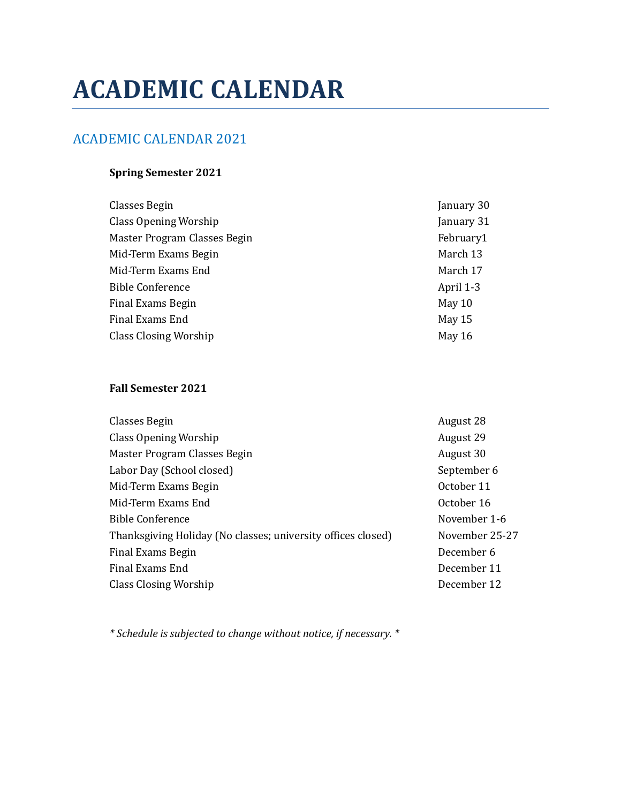# **ACADEMIC CALENDAR**

# ACADEMIC CALENDAR 2021

## **Spring Semester 2021**

| Classes Begin                | January 30 |
|------------------------------|------------|
| Class Opening Worship        | January 31 |
| Master Program Classes Begin | February1  |
| Mid-Term Exams Begin         | March 13   |
| Mid-Term Exams End           | March 17   |
| <b>Bible Conference</b>      | April 1-3  |
| Final Exams Begin            | May 10     |
| Final Exams End              | May 15     |
| <b>Class Closing Worship</b> | May 16     |
|                              |            |

#### **Fall Semester 2021**

| Classes Begin                                                | August 28      |
|--------------------------------------------------------------|----------------|
| Class Opening Worship                                        | August 29      |
| Master Program Classes Begin                                 | August 30      |
| Labor Day (School closed)                                    | September 6    |
| Mid-Term Exams Begin                                         | October 11     |
| Mid-Term Exams End                                           | October 16     |
| <b>Bible Conference</b>                                      | November 1-6   |
| Thanksgiving Holiday (No classes; university offices closed) | November 25-27 |
| Final Exams Begin                                            | December 6     |
| Final Exams End                                              | December 11    |
| Class Closing Worship                                        | December 12    |

*\* Schedule is subjected to change without notice, if necessary. \**